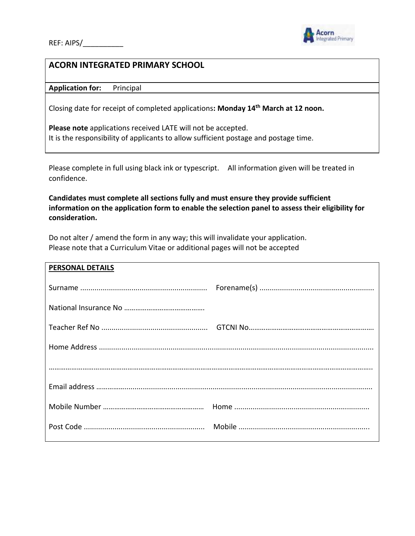

## **ACORN INTEGRATED PRIMARY SCHOOL**

**Application for:** Principal

Closing date for receipt of completed applications**: Monday 14th March at 12 noon.**

**Please note** applications received LATE will not be accepted. It is the responsibility of applicants to allow sufficient postage and postage time.

Please complete in full using black ink or typescript. All information given will be treated in confidence.

**Candidates must complete all sections fully and must ensure they provide sufficient information on the application form to enable the selection panel to assess their eligibility for consideration.**

Do not alter / amend the form in any way; this will invalidate your application. Please note that a Curriculum Vitae or additional pages will not be accepted

| <b>PERSONAL DETAILS</b> |  |
|-------------------------|--|
|                         |  |
|                         |  |
|                         |  |
|                         |  |
|                         |  |
|                         |  |
|                         |  |
|                         |  |
|                         |  |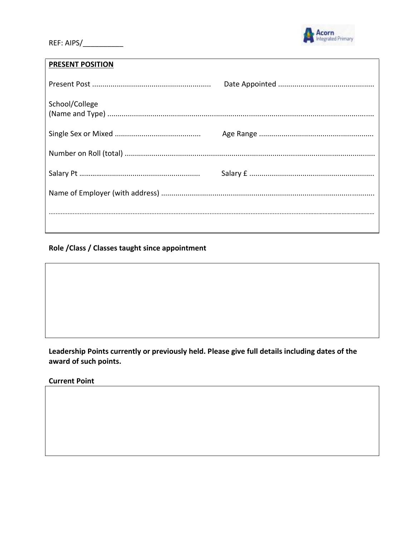

## **PRESENT POSITION**

| School/College |  |
|----------------|--|
|                |  |
|                |  |
|                |  |
|                |  |
|                |  |
|                |  |

## Role / Class / Classes taught since appointment



Leadership Points currently or previously held. Please give full details including dates of the award of such points.

**Current Point**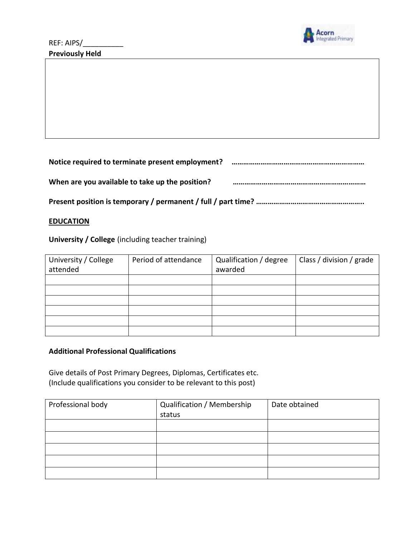

**Notice required to terminate present employment? ……………………………………………………………**

**When are you available to take up the position? ……………………………………………………………**

**Present position is temporary / permanent / full / part time? ………………………………………………..**

### **EDUCATION**

**University / College** (including teacher training)

| University / College<br>attended | Period of attendance | Qualification / degree<br>awarded | Class / division / grade |
|----------------------------------|----------------------|-----------------------------------|--------------------------|
|                                  |                      |                                   |                          |
|                                  |                      |                                   |                          |
|                                  |                      |                                   |                          |
|                                  |                      |                                   |                          |
|                                  |                      |                                   |                          |
|                                  |                      |                                   |                          |

### **Additional Professional Qualifications**

Give details of Post Primary Degrees, Diplomas, Certificates etc. (Include qualifications you consider to be relevant to this post)

| Professional body | Qualification / Membership | Date obtained |
|-------------------|----------------------------|---------------|
|                   | status                     |               |
|                   |                            |               |
|                   |                            |               |
|                   |                            |               |
|                   |                            |               |
|                   |                            |               |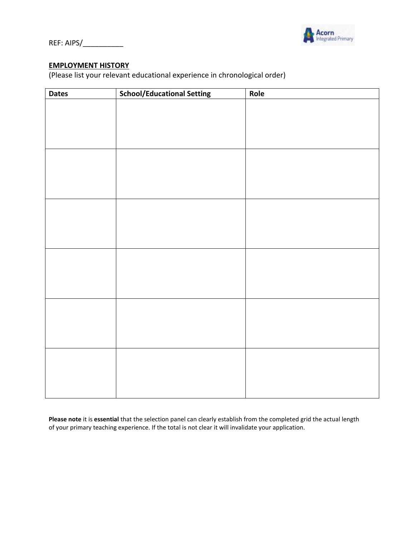

REF: AIPS/\_\_\_\_\_\_\_\_\_\_

### **EMPLOYMENT HISTORY**

(Please list your relevant educational experience in chronological order)

| <b>Dates</b> | <b>School/Educational Setting</b> | Role |
|--------------|-----------------------------------|------|
|              |                                   |      |
|              |                                   |      |
|              |                                   |      |
|              |                                   |      |
|              |                                   |      |
|              |                                   |      |
|              |                                   |      |
|              |                                   |      |
|              |                                   |      |
|              |                                   |      |
|              |                                   |      |
|              |                                   |      |
|              |                                   |      |
|              |                                   |      |
|              |                                   |      |
|              |                                   |      |
|              |                                   |      |
|              |                                   |      |
|              |                                   |      |
|              |                                   |      |
|              |                                   |      |
|              |                                   |      |
|              |                                   |      |
|              |                                   |      |
|              |                                   |      |

**Please note** it is **essential** that the selection panel can clearly establish from the completed grid the actual length of your primary teaching experience. If the total is not clear it will invalidate your application.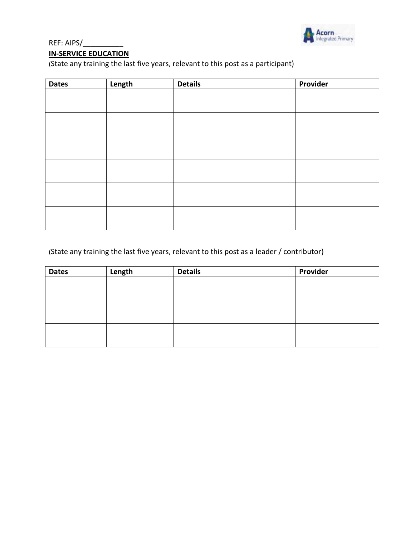

# REF: AIPS/\_\_\_\_\_\_\_\_\_\_

## **IN-SERVICE EDUCATION**

(State any training the last five years, relevant to this post as a participant)

| <b>Dates</b> | Length | <b>Details</b> | Provider |
|--------------|--------|----------------|----------|
|              |        |                |          |
|              |        |                |          |
|              |        |                |          |
|              |        |                |          |
|              |        |                |          |
|              |        |                |          |
|              |        |                |          |
|              |        |                |          |
|              |        |                |          |
|              |        |                |          |
|              |        |                |          |
|              |        |                |          |

## (State any training the last five years, relevant to this post as a leader / contributor)

| <b>Dates</b> | Length | <b>Details</b> | Provider |
|--------------|--------|----------------|----------|
|              |        |                |          |
|              |        |                |          |
|              |        |                |          |
|              |        |                |          |
|              |        |                |          |
|              |        |                |          |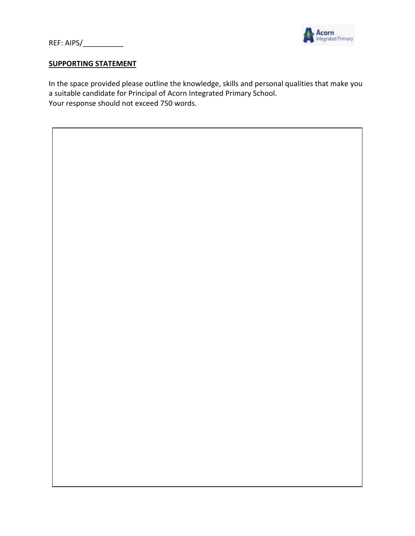

REF: AIPS/\_\_\_\_\_\_\_\_\_\_\_\_

### **SUPPORTING STATEMENT**

In the space provided please outline the knowledge, skills and personal qualities that make you a suitable candidate for Principal of Acorn Integrated Primary School. Your response should not exceed 750 words.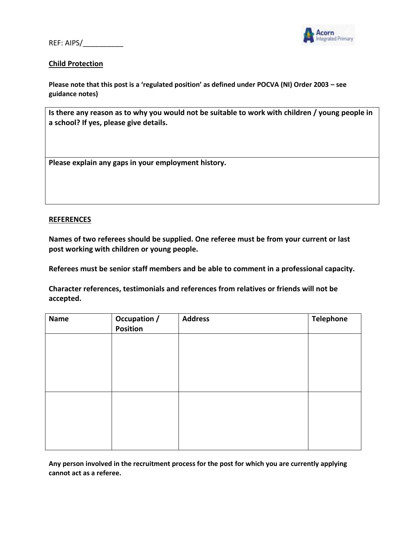REF: AIPS/



### **Child Protection**

**Please note that this post is a 'regulated position' as defined under POCVA (NI) Order 2003 – see guidance notes)**

**Is there any reason as to why you would not be suitable to work with children / young people in a school? If yes, please give details.** 

**Please explain any gaps in your employment history.**

#### **REFERENCES**

**Names of two referees should be supplied. One referee must be from your current or last post working with children or young people.**

**Referees must be senior staff members and be able to comment in a professional capacity.** 

**Character references, testimonials and references from relatives or friends will not be accepted.**

| <b>Name</b> | Occupation /<br>Position | <b>Address</b> | <b>Telephone</b> |
|-------------|--------------------------|----------------|------------------|
|             |                          |                |                  |
|             |                          |                |                  |
|             |                          |                |                  |
|             |                          |                |                  |
|             |                          |                |                  |
|             |                          |                |                  |

**Any person involved in the recruitment process for the post for which you are currently applying cannot act as a referee.**